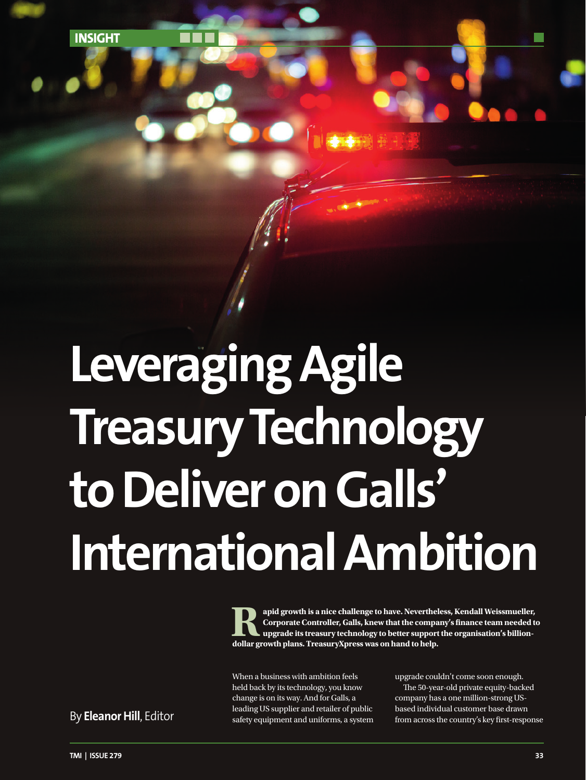**INSIGHT**

## **Leveraging Agile Treasury Technology to Deliver on Galls' International Ambition**

apid growth is a nice challenge to have. Nevertheless, Kendall Weissmueller, Corporate Controller, Galls, knew that the company's finance team needed to upgrade its treasury technology to better support the organisation's **Corporate Controller, Galls, knew that the company's finance team needed to upgrade its treasury technology to better support the organisation's billiondollar growth plans. TreasuryXpress was on hand to help.** 

When a business with ambition feels held back by its technology, you know change is on its way. And for Galls, a leading US supplier and retailer of public safety equipment and uniforms, a system By **Eleanor Hill**, Editor safety equipment and uniforms, a system from across the country's key first-response

upgrade couldn't come soon enough. The 50-year-old private equity-backed company has a one million-strong USbased individual customer base drawn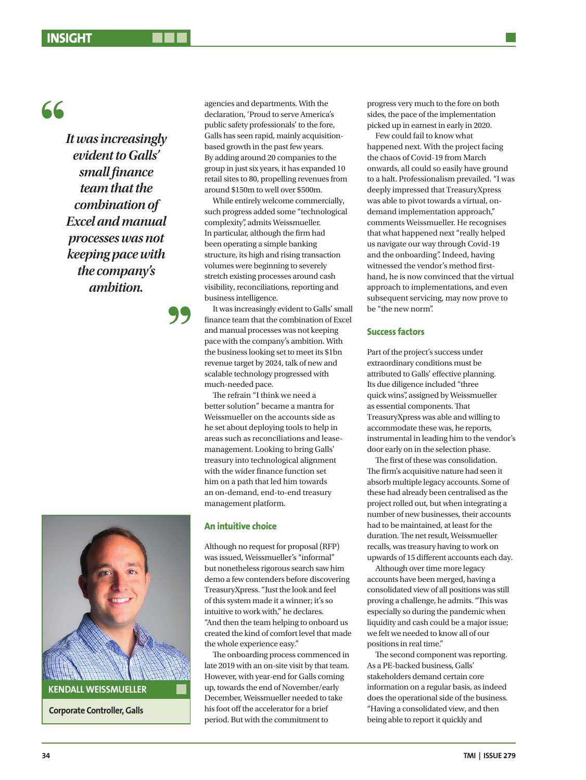*It was increasingly evident to Galls' small finance team that the combination of Excel and manual processes was not keeping pace with the company's ambition.* 



**Corporate Controller, Galls**

agencies and departments. With the declaration, 'Proud to serve America's public safety professionals' to the fore, Galls has seen rapid, mainly acquisitionbased growth in the past few years. By adding around 20 companies to the group in just six years, it has expanded 10 retail sites to 80, propelling revenues from around \$150m to well over \$500m.

While entirely welcome commercially, such progress added some "technological complexity", admits Weissmueller. In particular, although the firm had been operating a simple banking structure, its high and rising transaction volumes were beginning to severely stretch existing processes around cash visibility, reconciliations, reporting and business intelligence.

It was increasingly evident to Galls' small finance team that the combination of Excel and manual processes was not keeping pace with the company's ambition. With the business looking set to meet its \$1bn revenue target by 2024, talk of new and scalable technology progressed with much-needed pace.

The refrain "I think we need a better solution" became a mantra for Weissmueller on the accounts side as he set about deploying tools to help in areas such as reconciliations and leasemanagement. Looking to bring Galls' treasury into technological alignment with the wider finance function set him on a path that led him towards an on-demand, end-to-end treasury management platform.

## **An intuitive choice**

Although no request for proposal (RFP) was issued, Weissmueller's "informal" but nonetheless rigorous search saw him demo a few contenders before discovering TreasuryXpress. "Just the look and feel of this system made it a winner; it's so intuitive to work with," he declares. "And then the team helping to onboard us created the kind of comfort level that made the whole experience easy."

The onboarding process commenced in late 2019 with an on-site visit by that team. However, with year-end for Galls coming up, towards the end of November/early December, Weissmueller needed to take his foot off the accelerator for a brief period. But with the commitment to

progress very much to the fore on both sides, the pace of the implementation picked up in earnest in early in 2020.

Few could fail to know what happened next. With the project facing the chaos of Covid-19 from March onwards, all could so easily have ground to a halt. Professionalism prevailed. "I was deeply impressed that TreasuryXpress was able to pivot towards a virtual, ondemand implementation approach," comments Weissmueller. He recognises that what happened next "really helped us navigate our way through Covid-19 and the onboarding". Indeed, having witnessed the vendor's method firsthand, he is now convinced that the virtual approach to implementations, and even subsequent servicing, may now prove to be "the new norm".

## **Success factors**

Part of the project's success under extraordinary conditions must be attributed to Galls' effective planning. Its due diligence included "three quick wins", assigned by Weissmueller as essential components. That TreasuryXpress was able and willing to accommodate these was, he reports, instrumental in leading him to the vendor's door early on in the selection phase.

The first of these was consolidation. The firm's acquisitive nature had seen it absorb multiple legacy accounts. Some of these had already been centralised as the project rolled out, but when integrating a number of new businesses, their accounts had to be maintained, at least for the duration. The net result, Weissmueller recalls, was treasury having to work on upwards of 15 different accounts each day.

Although over time more legacy accounts have been merged, having a consolidated view of all positions was still proving a challenge, he admits. "This was especially so during the pandemic when liquidity and cash could be a major issue; we felt we needed to know all of our positions in real time."

The second component was reporting. As a PE-backed business, Galls' stakeholders demand certain core information on a regular basis, as indeed does the operational side of the business. "Having a consolidated view, and then being able to report it quickly and